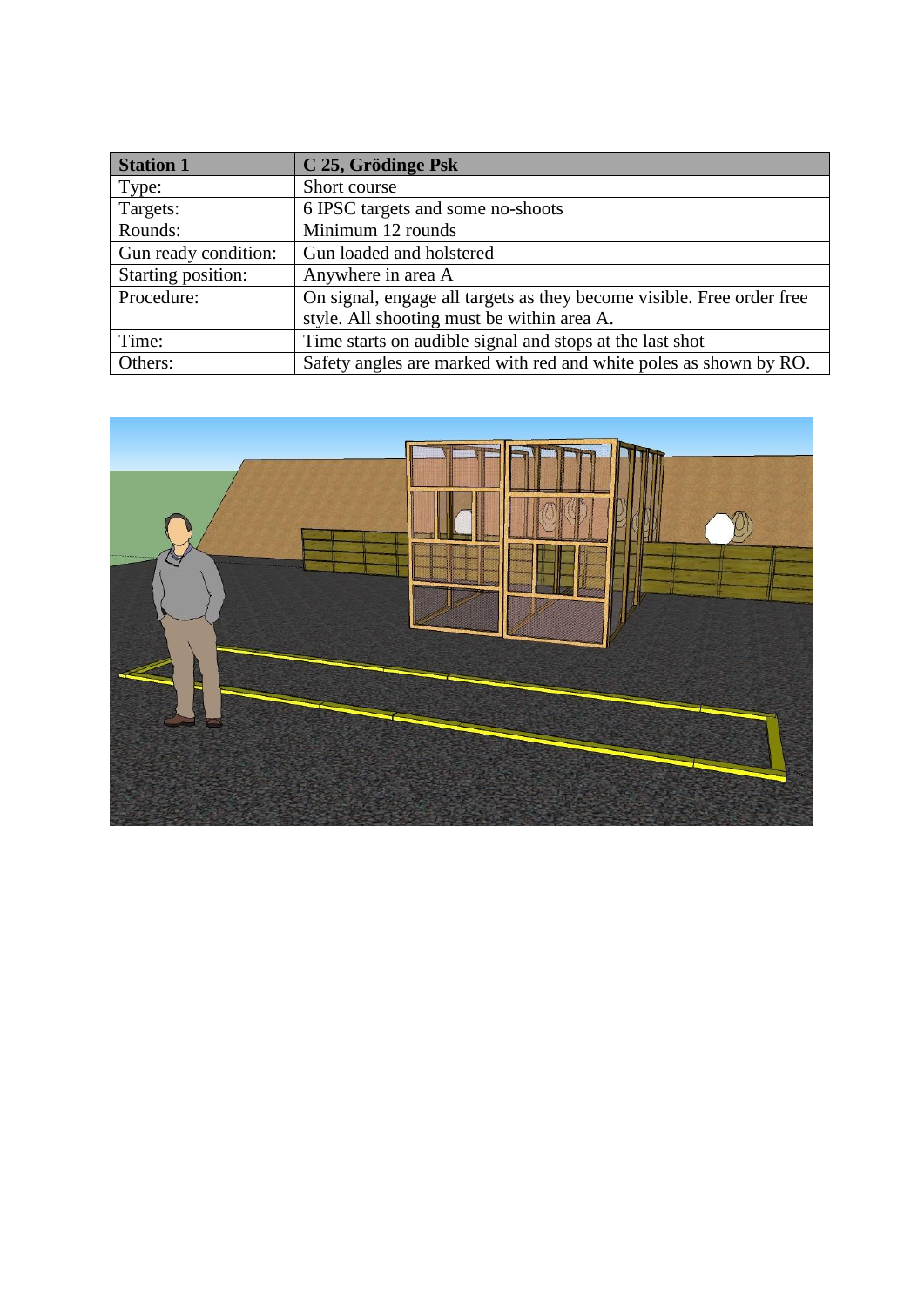| <b>Station 1</b>     | C 25, Grödinge Psk                                                    |
|----------------------|-----------------------------------------------------------------------|
| Type:                | Short course                                                          |
| Targets:             | 6 IPSC targets and some no-shoots                                     |
| Rounds:              | Minimum 12 rounds                                                     |
| Gun ready condition: | Gun loaded and holstered                                              |
| Starting position:   | Anywhere in area A                                                    |
| Procedure:           | On signal, engage all targets as they become visible. Free order free |
|                      | style. All shooting must be within area A.                            |
| Time:                | Time starts on audible signal and stops at the last shot              |
| Others:              | Safety angles are marked with red and white poles as shown by RO.     |

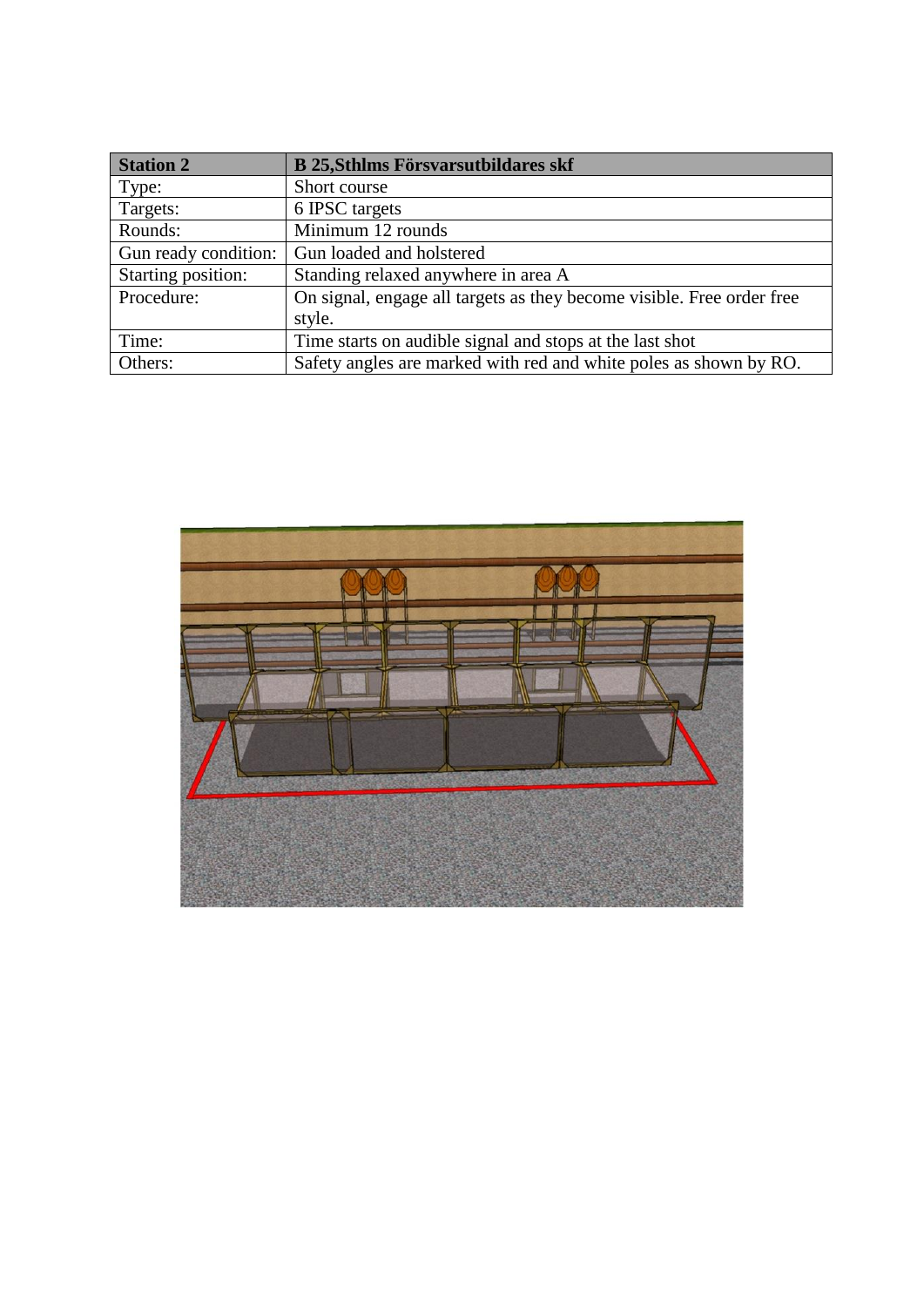| <b>Station 2</b>     | <b>B 25, Sthlms Försvarsutbildares skf</b>                            |
|----------------------|-----------------------------------------------------------------------|
| Type:                | Short course                                                          |
| Targets:             | 6 IPSC targets                                                        |
| Rounds:              | Minimum 12 rounds                                                     |
| Gun ready condition: | Gun loaded and holstered                                              |
| Starting position:   | Standing relaxed anywhere in area A                                   |
| Procedure:           | On signal, engage all targets as they become visible. Free order free |
|                      | style.                                                                |
| Time:                | Time starts on audible signal and stops at the last shot              |
| Others:              | Safety angles are marked with red and white poles as shown by RO.     |

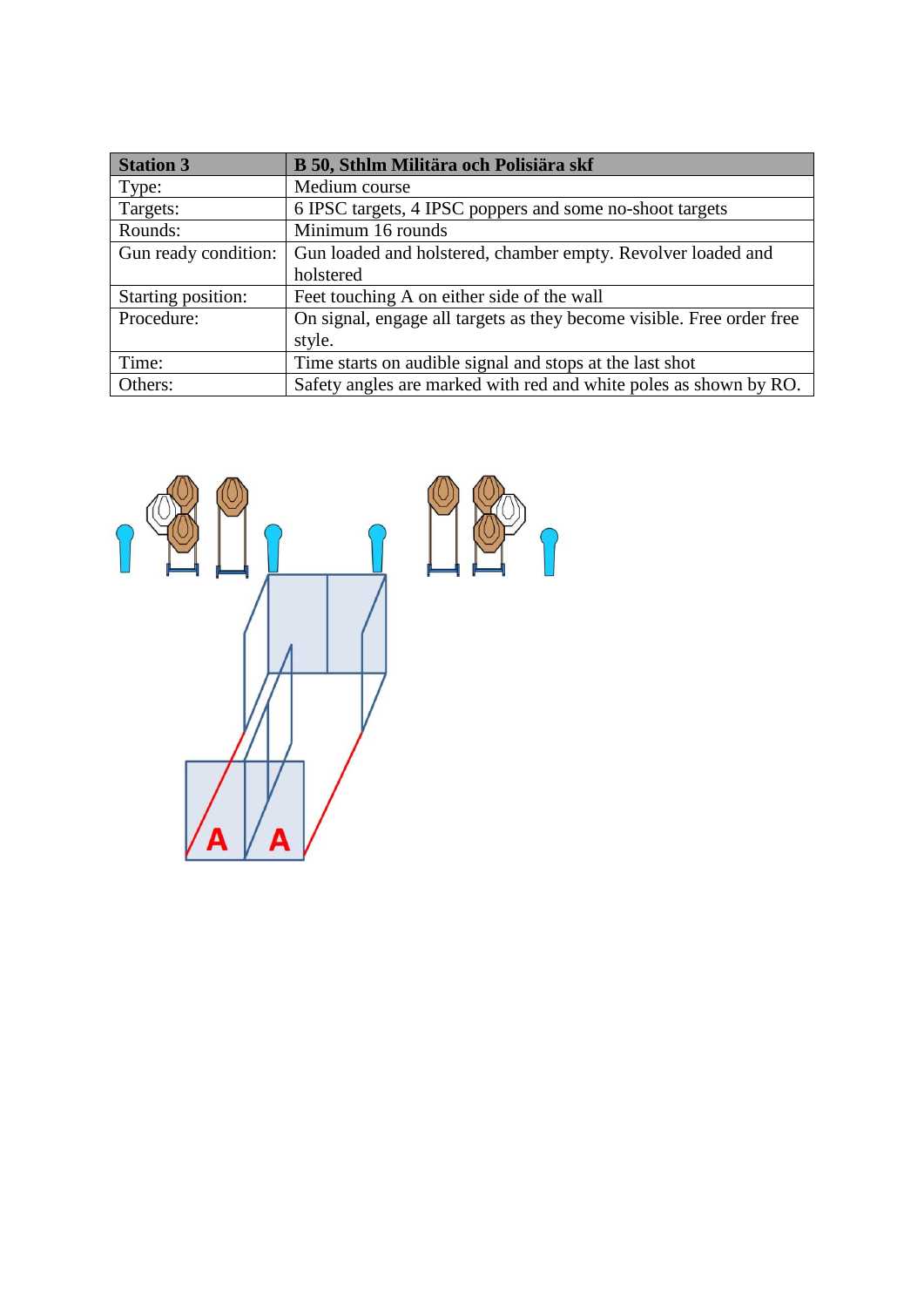| <b>Station 3</b>     | B 50, Sthlm Militära och Polisiära skf                                |
|----------------------|-----------------------------------------------------------------------|
| Type:                | Medium course                                                         |
| Targets:             | 6 IPSC targets, 4 IPSC poppers and some no-shoot targets              |
| Rounds:              | Minimum 16 rounds                                                     |
| Gun ready condition: | Gun loaded and holstered, chamber empty. Revolver loaded and          |
|                      | holstered                                                             |
| Starting position:   | Feet touching A on either side of the wall                            |
| Procedure:           | On signal, engage all targets as they become visible. Free order free |
|                      | style.                                                                |
| Time:                | Time starts on audible signal and stops at the last shot              |
| Others:              | Safety angles are marked with red and white poles as shown by RO.     |

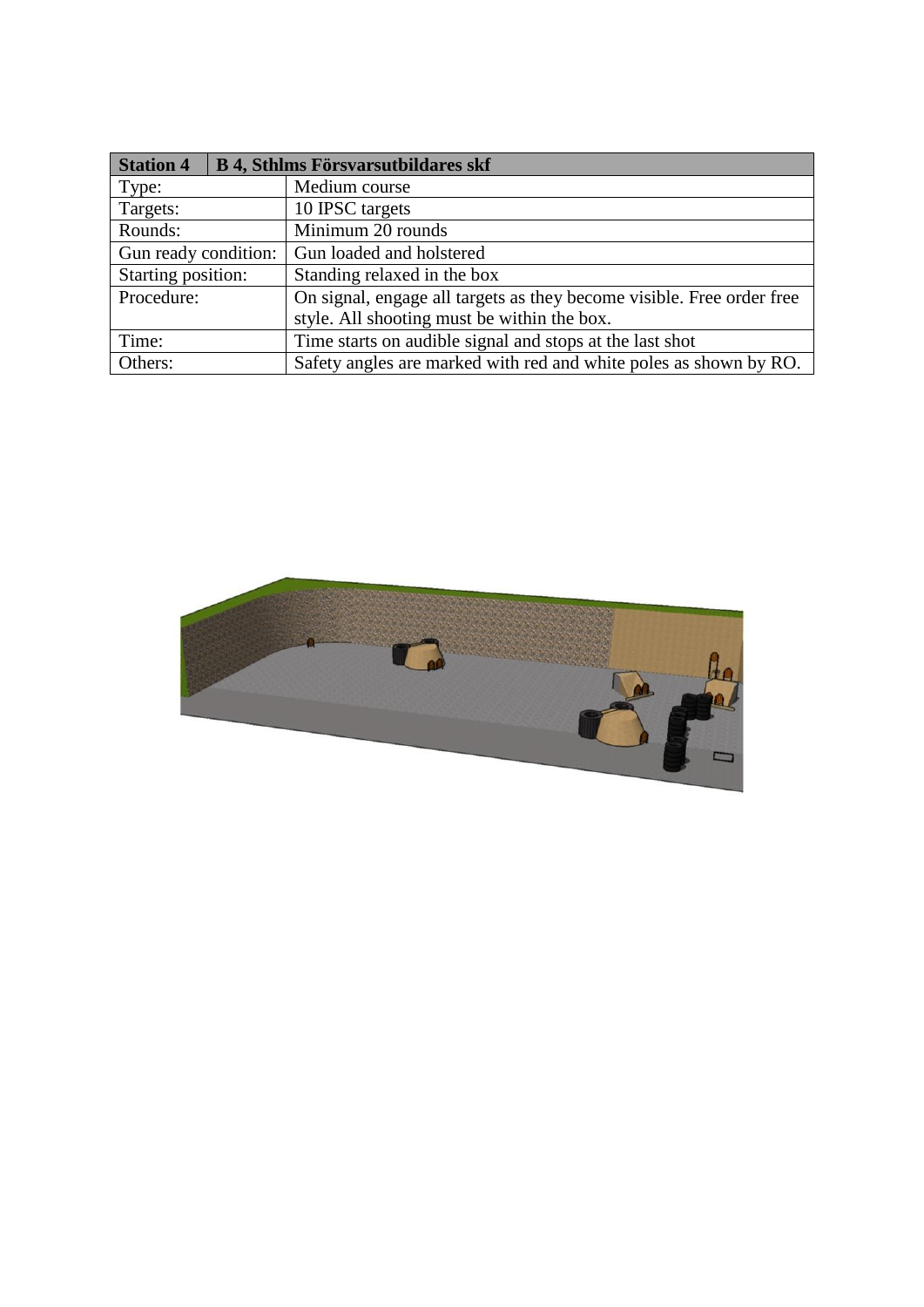| <b>Station 4</b>     | <b>B 4, Sthlms Försvarsutbildares skf</b> |                                                                       |
|----------------------|-------------------------------------------|-----------------------------------------------------------------------|
| Type:                |                                           | Medium course                                                         |
| Targets:             |                                           | 10 IPSC targets                                                       |
| Rounds:              |                                           | Minimum 20 rounds                                                     |
| Gun ready condition: |                                           | Gun loaded and holstered                                              |
| Starting position:   |                                           | Standing relaxed in the box                                           |
| Procedure:           |                                           | On signal, engage all targets as they become visible. Free order free |
|                      |                                           | style. All shooting must be within the box.                           |
| Time:                |                                           | Time starts on audible signal and stops at the last shot              |
| Others:              |                                           | Safety angles are marked with red and white poles as shown by RO.     |

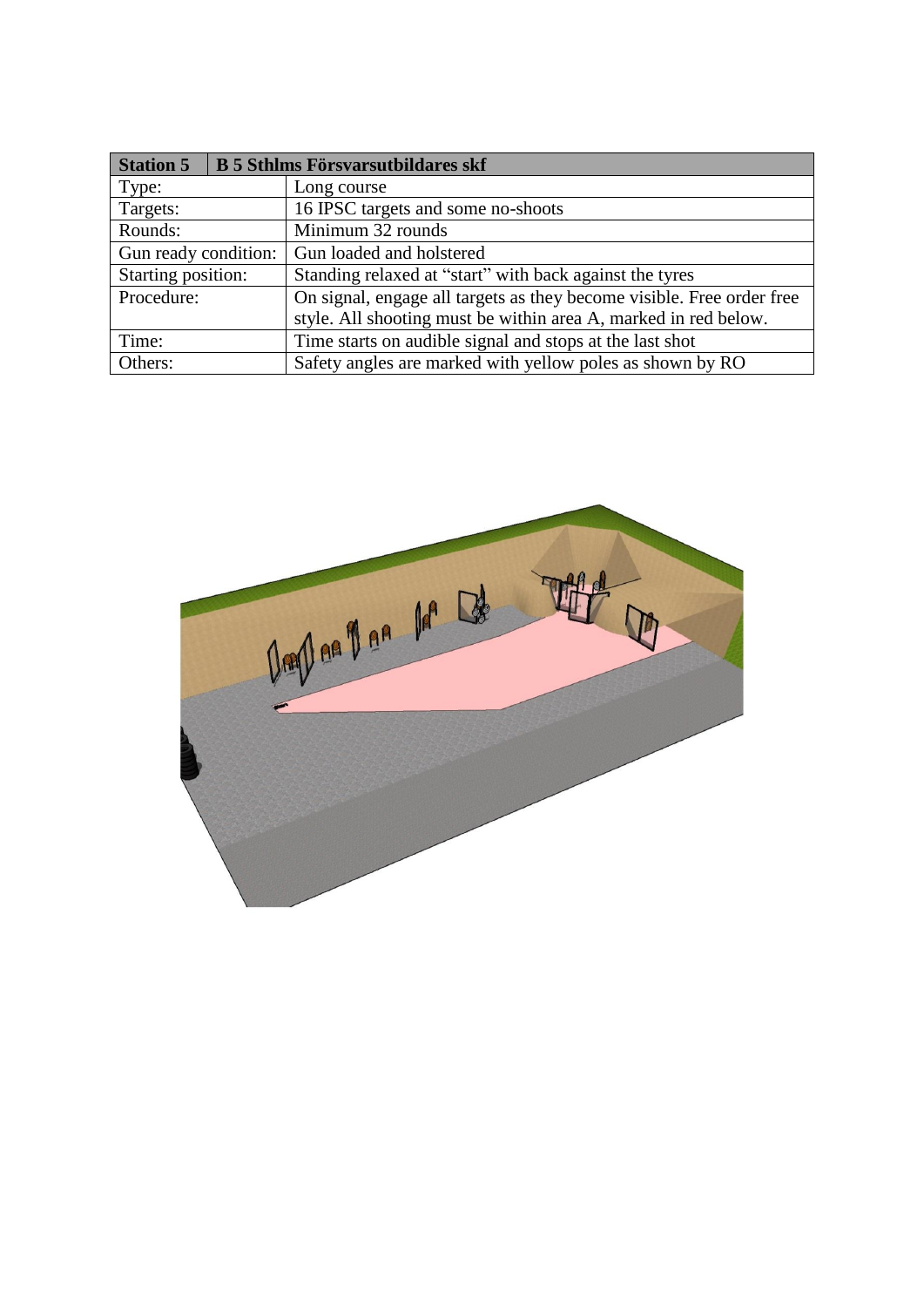| <b>Station 5</b>     | <b>B 5 Sthlms Försvarsutbildares skf</b> |                                                                       |
|----------------------|------------------------------------------|-----------------------------------------------------------------------|
| Type:                |                                          | Long course                                                           |
| Targets:             |                                          | 16 IPSC targets and some no-shoots                                    |
| Rounds:              |                                          | Minimum 32 rounds                                                     |
| Gun ready condition: |                                          | Gun loaded and holstered                                              |
| Starting position:   |                                          | Standing relaxed at "start" with back against the tyres               |
| Procedure:           |                                          | On signal, engage all targets as they become visible. Free order free |
|                      |                                          | style. All shooting must be within area A, marked in red below.       |
| Time:                |                                          | Time starts on audible signal and stops at the last shot              |
| Others:              |                                          | Safety angles are marked with yellow poles as shown by RO             |

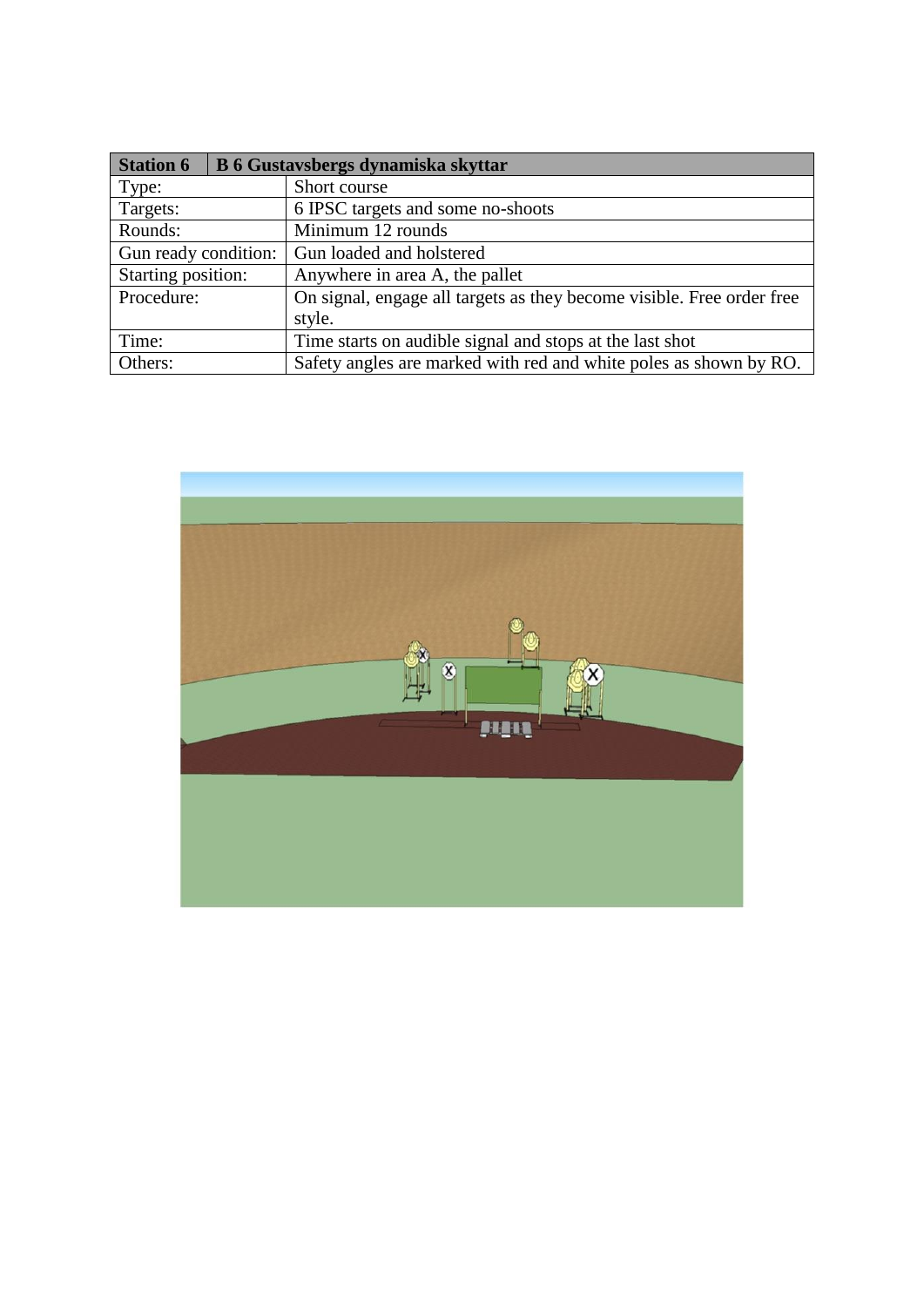| <b>Station 6</b>     | <b>B 6 Gustavsbergs dynamiska skyttar</b> |                                                                       |
|----------------------|-------------------------------------------|-----------------------------------------------------------------------|
| Type:                |                                           | Short course                                                          |
| Targets:             |                                           | 6 IPSC targets and some no-shoots                                     |
| Rounds:              |                                           | Minimum 12 rounds                                                     |
| Gun ready condition: |                                           | Gun loaded and holstered                                              |
| Starting position:   |                                           | Anywhere in area A, the pallet                                        |
| Procedure:           |                                           | On signal, engage all targets as they become visible. Free order free |
|                      |                                           | style.                                                                |
| Time:                |                                           | Time starts on audible signal and stops at the last shot              |
| Others:              |                                           | Safety angles are marked with red and white poles as shown by RO.     |

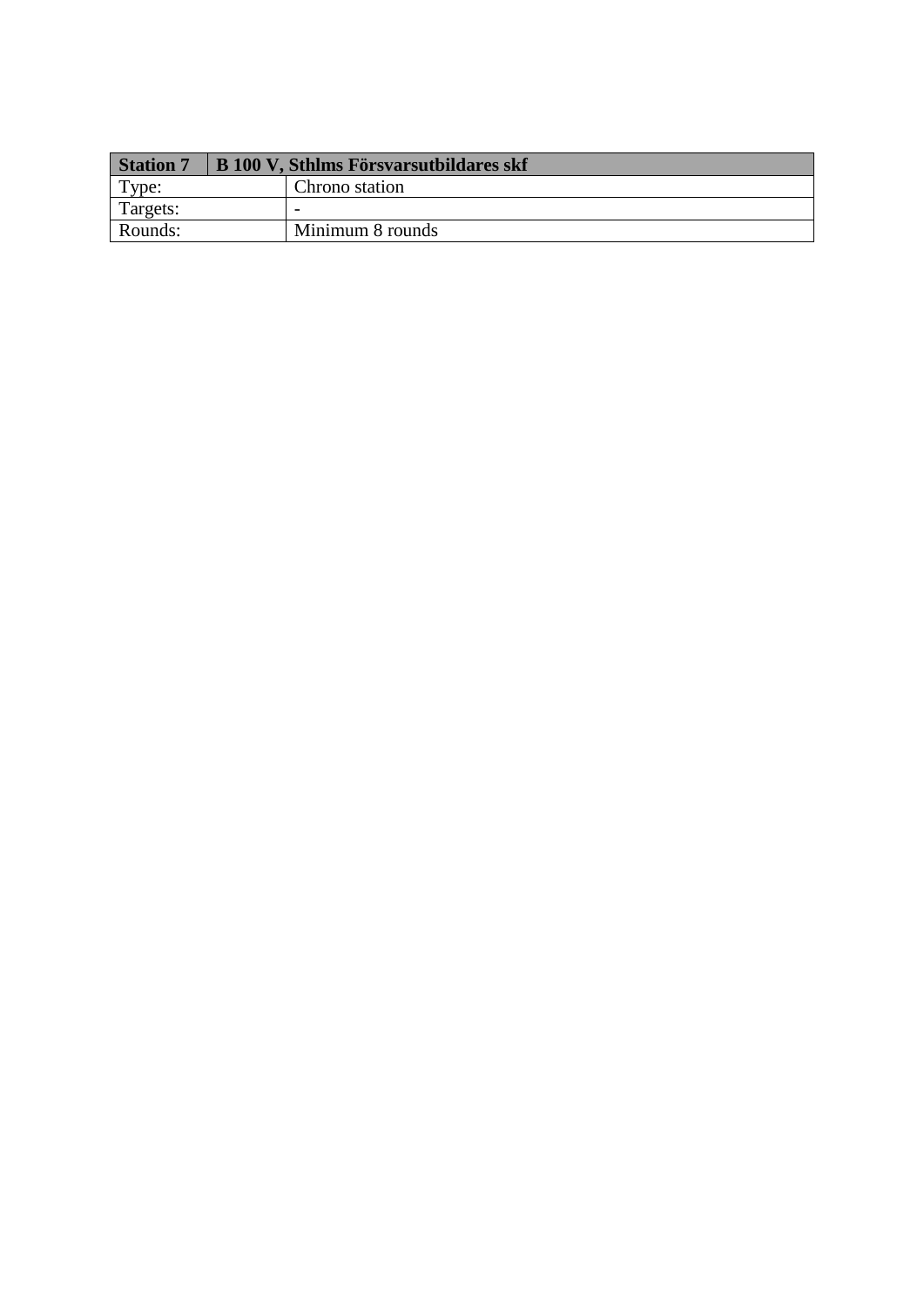| <b>Station 7</b> | B 100 V, Sthlms Försvarsutbildares skf |
|------------------|----------------------------------------|
| Type:            | Chrono station                         |
| Targets:         | $\overline{\phantom{0}}$               |
| Rounds:          | Minimum 8 rounds                       |